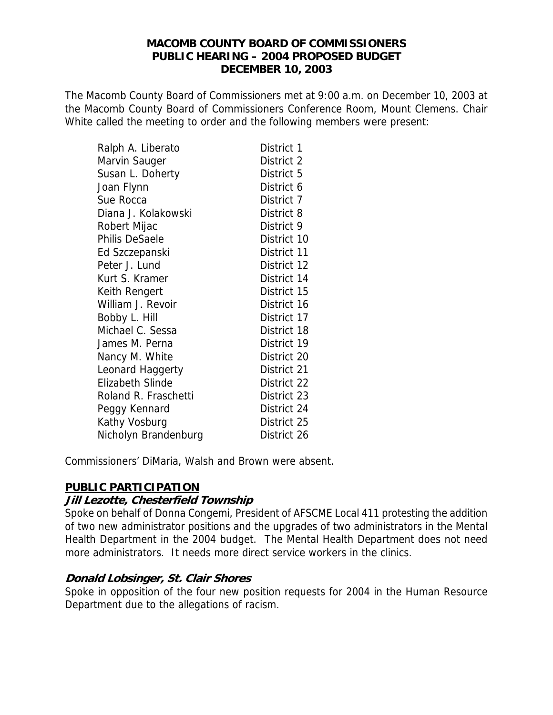#### **MACOMB COUNTY BOARD OF COMMISSIONERS PUBLIC HEARING – 2004 PROPOSED BUDGET DECEMBER 10, 2003**

The Macomb County Board of Commissioners met at 9:00 a.m. on December 10, 2003 at the Macomb County Board of Commissioners Conference Room, Mount Clemens. Chair White called the meeting to order and the following members were present:

| Ralph A. Liberato       | District 1  |
|-------------------------|-------------|
| Marvin Sauger           | District 2  |
| Susan L. Doherty        | District 5  |
| Joan Flynn              | District 6  |
| Sue Rocca               | District 7  |
| Diana J. Kolakowski     | District 8  |
| Robert Mijac            | District 9  |
| <b>Philis DeSaele</b>   | District 10 |
| Ed Szczepanski          | District 11 |
| Peter J. Lund           | District 12 |
| Kurt S. Kramer          | District 14 |
| Keith Rengert           | District 15 |
| William J. Revoir       | District 16 |
| Bobby L. Hill           | District 17 |
| Michael C. Sessa        | District 18 |
| James M. Perna          | District 19 |
| Nancy M. White          | District 20 |
| Leonard Haggerty        | District 21 |
| <b>Elizabeth Slinde</b> | District 22 |
| Roland R. Fraschetti    | District 23 |
| Peggy Kennard           | District 24 |
| Kathy Vosburg           | District 25 |
| Nicholyn Brandenburg    | District 26 |

Commissioners' DiMaria, Walsh and Brown were absent.

# **PUBLIC PARTICIPATION**

#### **Jill Lezotte, Chesterfield Township**

Spoke on behalf of Donna Congemi, President of AFSCME Local 411 protesting the addition of two new administrator positions and the upgrades of two administrators in the Mental Health Department in the 2004 budget. The Mental Health Department does not need more administrators. It needs more direct service workers in the clinics.

# **Donald Lobsinger, St. Clair Shores**

Spoke in opposition of the four new position requests for 2004 in the Human Resource Department due to the allegations of racism.